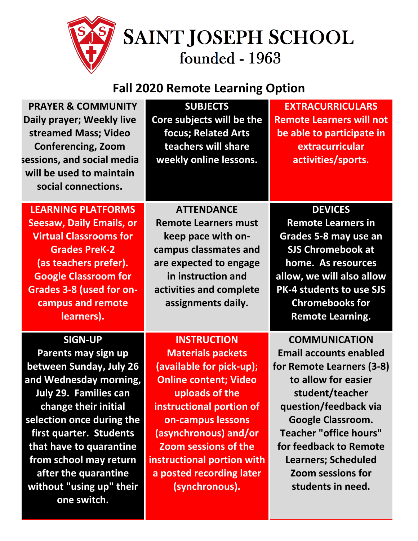

## **Fall 2020 Remote Learning Option**

| <b>PRAYER &amp; COMMUNITY</b><br>Daily prayer; Weekly live<br>streamed Mass; Video<br><b>Conferencing, Zoom</b><br>sessions, and social media<br>will be used to maintain<br>social connections.                                                                                                                                   | <b>SUBJECTS</b><br>Core subjects will be the<br>focus; Related Arts<br>teachers will share<br>weekly online lessons.                                                                                                                                                                                              | <b>EXTRACURRICULARS</b><br><b>Remote Learners will not</b><br>be able to participate in<br>extracurricular<br>activities/sports.                                                                                                                                                                                     |
|------------------------------------------------------------------------------------------------------------------------------------------------------------------------------------------------------------------------------------------------------------------------------------------------------------------------------------|-------------------------------------------------------------------------------------------------------------------------------------------------------------------------------------------------------------------------------------------------------------------------------------------------------------------|----------------------------------------------------------------------------------------------------------------------------------------------------------------------------------------------------------------------------------------------------------------------------------------------------------------------|
| <b>LEARNING PLATFORMS</b><br><b>Seesaw, Daily Emails, or</b><br><b>Virtual Classrooms for</b><br><b>Grades PreK-2</b><br>(as teachers prefer).<br><b>Google Classroom for</b><br><b>Grades 3-8 (used for on-</b><br>campus and remote<br>learners).                                                                                | <b>ATTENDANCE</b><br><b>Remote Learners must</b><br>keep pace with on-<br>campus classmates and<br>are expected to engage<br>in instruction and<br>activities and complete<br>assignments daily.                                                                                                                  | <b>DEVICES</b><br><b>Remote Learners in</b><br>Grades 5-8 may use an<br><b>SJS Chromebook at</b><br>home. As resources<br>allow, we will also allow<br>PK-4 students to use SJS<br><b>Chromebooks for</b><br><b>Remote Learning.</b>                                                                                 |
| <b>SIGN-UP</b><br>Parents may sign up<br>between Sunday, July 26<br>and Wednesday morning,<br><b>July 29. Families can</b><br>change their initial<br>selection once during the<br>first quarter. Students<br>that have to quarantine<br>from school may return<br>after the quarantine<br>without "using up" their<br>one switch. | <b>INSTRUCTION</b><br><b>Materials packets</b><br>(available for pick-up);<br><b>Online content; Video</b><br>uploads of the<br>instructional portion of<br>on-campus lessons<br>(asynchronous) and/or<br><b>Zoom sessions of the</b><br>instructional portion with<br>a posted recording later<br>(synchronous). | <b>COMMUNICATION</b><br><b>Email accounts enabled</b><br>for Remote Learners (3-8)<br>to allow for easier<br>student/teacher<br>question/feedback via<br><b>Google Classroom.</b><br><b>Teacher "office hours"</b><br>for feedback to Remote<br><b>Learners; Scheduled</b><br>Zoom sessions for<br>students in need. |